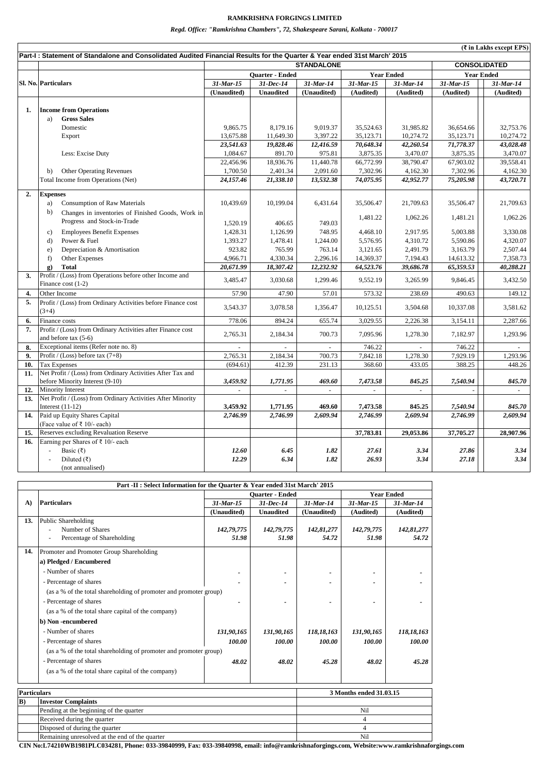|     | Part-I: Statement of Standalone and Consolidated Audited Financial Results for the Quarter & Year ended 31st March' 2015 |                 |                   |              |                     |                             |                 |                   |
|-----|--------------------------------------------------------------------------------------------------------------------------|-----------------|-------------------|--------------|---------------------|-----------------------------|-----------------|-------------------|
|     |                                                                                                                          |                 | <b>STANDALONE</b> |              | <b>CONSOLIDATED</b> |                             |                 |                   |
|     |                                                                                                                          |                 | Quarter - Ended   |              |                     | <b>Year Ended</b>           |                 | <b>Year Ended</b> |
|     | Sl. No. Particulars                                                                                                      | $31$ -Mar- $15$ | 31-Dec-14         | $31$ -Mar-14 | $31$ -Mar- $15$     | 31-Mar-14                   | $31$ -Mar- $15$ | 31-Mar-14         |
|     |                                                                                                                          | (Unaudited)     | <b>Unaudited</b>  | (Unaudited)  | (Audited)           | (Audited)                   | (Audited)       | (Audited)         |
| 1.  | <b>Income from Operations</b>                                                                                            |                 |                   |              |                     |                             |                 |                   |
|     | <b>Gross Sales</b><br>a)                                                                                                 |                 |                   |              |                     |                             |                 |                   |
|     | Domestic                                                                                                                 | 9,865.75        | 8,179.16          | 9,019.37     | 35,524.63           | 31,985.82                   | 36,654.66       | 32,753.76         |
|     | Export                                                                                                                   | 13,675.88       | 11,649.30         | 3,397.22     | 35,123.71           | 10,274.72                   | 35,123.71       | 10,274.72         |
|     |                                                                                                                          | 23,541.63       | 19,828.46         | 12,416.59    | 70,648.34           | 42,260.54                   | 71,778.37       | 43,028.48         |
|     | Less: Excise Duty                                                                                                        | 1,084.67        | 891.70            | 975.81       | 3,875.35            | 3,470.07                    | 3,875.35        | 3,470.07          |
|     |                                                                                                                          | 22.456.96       | 18,936.76         | 11,440.78    | 66,772.99           | 38,790.47                   | 67,903.02       | 39,558.41         |
|     |                                                                                                                          |                 |                   |              |                     |                             |                 |                   |
|     | <b>Other Operating Revenues</b><br>b)                                                                                    | 1,700.50        | 2,401.34          | 2,091.60     | 7,302.96            | 4,162.30                    | 7,302.96        | 4,162.30          |
|     | Total Income from Operations (Net)                                                                                       | 24,157.46       | 21,338.10         | 13,532.38    | 74,075.95           | 42,952.77                   | 75,205.98       | 43,720.71         |
| 2.  | <b>Expenses</b>                                                                                                          |                 |                   |              |                     |                             |                 |                   |
|     | <b>Consumption of Raw Materials</b><br>a)                                                                                | 10,439.69       | 10,199.04         | 6,431.64     | 35,506.47           | 21,709.63                   | 35,506.47       | 21,709.63         |
|     | b)<br>Changes in inventories of Finished Goods, Work in                                                                  |                 |                   |              | 1,481.22            | 1,062.26                    | 1.481.21        | 1,062.26          |
|     | Progress and Stock-in-Trade                                                                                              | 1,520.19        | 406.65            | 749.03       |                     |                             |                 |                   |
|     | <b>Employees Benefit Expenses</b><br>$\mathbf{c}$ )                                                                      | 1,428.31        | 1,126.99          | 748.95       | 4,468.10            | 2,917.95                    | 5,003.88        | 3,330.08          |
|     | Power & Fuel<br>d)                                                                                                       | 1,393.27        | 1,478.41          | 1,244.00     | 5,576.95            | 4,310.72                    | 5,590.86        | 4,320.07          |
|     | Depreciation & Amortisation<br>e)                                                                                        | 923.82          | 765.99            | 763.14       | 3.121.65            | 2,491.79                    | 3.163.79        | 2,507.44          |
|     | Other Expenses<br>f)                                                                                                     | 4,966.71        | 4,330.34          | 2,296.16     | 14,369.37           | 7,194.43                    | 14,613.32       | 7,358.73          |
|     | <b>Total</b><br>$\mathbf{g}$ )                                                                                           | 20,671.99       | 18,307.42         | 12,232.92    | 64,523.76           | 39,686.78                   | 65,359.53       | 40,288.21         |
| 3.  | Profit / (Loss) from Operations before other Income and                                                                  |                 |                   |              |                     |                             |                 |                   |
|     | Finance cost (1-2)                                                                                                       | 3,485.47        | 3,030.68          | 1,299.46     | 9,552.19            | 3,265.99                    | 9,846.45        | 3,432.50          |
| 4.  | Other Income                                                                                                             | 57.90           | 47.90             | 57.01        | 573.32              | 238.69                      | 490.63          | 149.12            |
| 5.  | Profit / (Loss) from Ordinary Activities before Finance cost                                                             |                 |                   |              |                     |                             |                 |                   |
|     | $(3+4)$                                                                                                                  | 3,543.37        | 3,078.58          | 1,356.47     | 10,125.51           | 3,504.68                    | 10,337.08       | 3,581.62          |
| 6.  | Finance costs                                                                                                            | 778.06          | 894.24            | 655.74       | 3,029.55            | 2,226.38                    | 3,154.11        | 2,287.66          |
| 7.  | Profit / (Loss) from Ordinary Activities after Finance cost                                                              | 2,765.31        | 2,184.34          | 700.73       | 7,095.96            | 1,278.30                    | 7,182.97        | 1,293.96          |
|     | and before tax (5-6)                                                                                                     |                 |                   |              |                     |                             |                 |                   |
| 8.  | Exceptional items (Refer note no. 8)                                                                                     |                 |                   | $\sim$       | 746.22              |                             | 746.22          |                   |
| 9.  | Profit / (Loss) before tax $(7+8)$                                                                                       | 2,765.31        | 2,184.34          | 700.73       | 7,842.18            | 1,278.30                    | 7,929.19        | 1,293.96          |
| 10. | <b>Tax Expenses</b>                                                                                                      | (694.61)        | 412.39            | 231.13       | 368.60              | 433.05                      | 388.25          | 448.26            |
| 11. | Net Profit / (Loss) from Ordinary Activities After Tax and                                                               |                 |                   |              |                     |                             |                 |                   |
|     | before Minority Interest (9-10)                                                                                          | 3,459.92        | 1,771.95          | 469.60       | 7,473.58            | 845.25                      | 7,540.94        | 845.70            |
| 12. | Minority Interest                                                                                                        | $\equiv$        | $\sim$            | $\omega$     | $\overline{a}$      | $\mathcal{L}^{\mathcal{L}}$ |                 | $\sim$            |
| 13. | Net Profit / (Loss) from Ordinary Activities After Minority                                                              |                 |                   |              |                     |                             |                 |                   |
|     | Interest $(11-12)$                                                                                                       | 3,459.92        | 1,771.95          | 469.60       | 7,473.58            | 845.25                      | 7,540.94        | 845.70            |
| 14. | Paid up Equity Shares Capital                                                                                            | 2,746.99        | 2,746.99          | 2,609.94     | 2,746.99            | 2,609.94                    | 2,746.99        | 2,609.94          |
|     | (Face value of ₹ 10/- each)                                                                                              |                 |                   |              |                     |                             |                 |                   |
| 15. | Reserves excluding Revaluation Reserve                                                                                   |                 |                   |              | 37,783.81           | 29,053.86                   | 37,705.27       | 28,907.96         |
| 16. | Earning per Shares of $\bar{\tau}$ 10/- each                                                                             |                 |                   |              |                     |                             |                 |                   |
|     | Basic (₹)                                                                                                                | 12.60           | 6.45              | 1.82         | 27.61               | 3.34                        | 27.86           | 3.34              |
|     | Diluted (₹)                                                                                                              | 12.29           | 6.34              | 1.82         | 26.93               | 3.34                        | 27.18           | 3.34              |
|     | (not annualised)                                                                                                         |                 |                   |              |                     |                             |                 |                   |

*Regd. Office: "Ramkrishna Chambers", 72, Shakespeare Sarani, Kolkata - 700017*

| Part -II : Select Information for the Quarter & Year ended 31st March' 2015 |                                                                   |                             |                        |                   |                         |              |  |  |
|-----------------------------------------------------------------------------|-------------------------------------------------------------------|-----------------------------|------------------------|-------------------|-------------------------|--------------|--|--|
|                                                                             |                                                                   |                             | <b>Ouarter - Ended</b> | <b>Year Ended</b> |                         |              |  |  |
| A)                                                                          | <b>Particulars</b>                                                | 31-Mar-15                   | 31-Dec-14              | $31$ -Mar-14      | $31$ -Mar-15            | $31$ -Mar-14 |  |  |
|                                                                             |                                                                   | (Unaudited)                 | <b>Unaudited</b>       | (Unaudited)       | (Audited)               | (Audited)    |  |  |
| 13.                                                                         | <b>Public Shareholding</b>                                        |                             |                        |                   |                         |              |  |  |
|                                                                             | Number of Shares                                                  | 142,79,775                  | 142,79,775             | 142,81,277        | 142,79,775              | 142,81,277   |  |  |
|                                                                             | Percentage of Shareholding                                        | 51.98                       | 51.98                  | 54.72             | 51.98                   | 54.72        |  |  |
| 14.                                                                         | Promoter and Promoter Group Shareholding                          |                             |                        |                   |                         |              |  |  |
|                                                                             | a) Pledged / Encumbered                                           |                             |                        |                   |                         |              |  |  |
|                                                                             | - Number of shares                                                |                             |                        |                   |                         |              |  |  |
|                                                                             | - Percentage of shares                                            |                             |                        |                   |                         |              |  |  |
|                                                                             | (as a % of the total shareholding of promoter and promoter group) |                             |                        |                   |                         |              |  |  |
|                                                                             | - Percentage of shares                                            |                             |                        |                   |                         |              |  |  |
|                                                                             | (as a % of the total share capital of the company)                |                             |                        |                   |                         |              |  |  |
|                                                                             | b) Non-encumbered                                                 |                             |                        |                   |                         |              |  |  |
|                                                                             | - Number of shares                                                | 131,90,165                  | 131,90,165             | 118,18,163        | 131,90,165              | 118,18,163   |  |  |
|                                                                             | - Percentage of shares                                            | 100.00                      | 100.00                 | 100.00            | 100.00                  | 100.00       |  |  |
|                                                                             | (as a % of the total shareholding of promoter and promoter group) |                             |                        |                   |                         |              |  |  |
|                                                                             | - Percentage of shares                                            | 48.02                       | 48.02                  | 45.28             | 48.02                   | 45.28        |  |  |
|                                                                             | (as a % of the total share capital of the company)                |                             |                        |                   |                         |              |  |  |
|                                                                             |                                                                   |                             |                        |                   |                         |              |  |  |
| <b>Particulars</b>                                                          |                                                                   |                             |                        |                   | 3 Months ended 31.03.15 |              |  |  |
| $\bf{B}$                                                                    | <b>Investor Complaints</b>                                        |                             |                        |                   |                         |              |  |  |
|                                                                             | Pending at the beginning of the quarter                           |                             |                        |                   | Nil                     |              |  |  |
|                                                                             |                                                                   | Received during the quarter |                        |                   | 4                       |              |  |  |
|                                                                             | Disposed of during the quarter                                    |                             |                        | 4                 |                         |              |  |  |
|                                                                             | Remaining unresolved at the end of the quarter                    |                             |                        |                   | Nil                     |              |  |  |

**CIN No:L74210WB1981PLC034281, Phone: 033-39840999, Fax: 033-39840998, email: info@ramkrishnaforgings.com, Website:www.ramkrishnaforgings.com**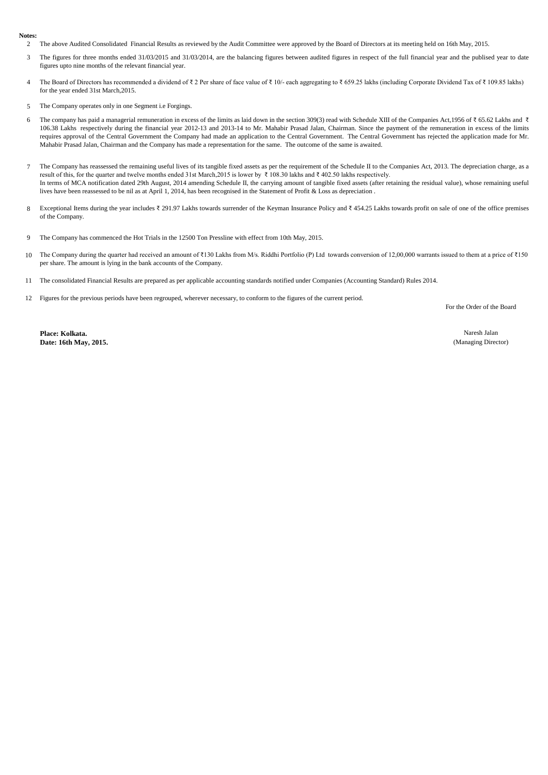## **Notes:**

2 The above Audited Consolidated Financial Results as reviewed by the Audit Committee were approved by the Board of Directors at its meeting held on 16th May, 2015.

- 3 The figures for three months ended 31/03/2015 and 31/03/2014, are the balancing figures between audited figures in respect of the full financial year and the publised year to date figures upto nine months of the relevant financial year.
- 4 The Board of Directors has recommended a dividend of ₹ 2 Per share of face value of ₹ 10/- each aggregating to ₹ 659.25 lakhs (including Corporate Dividend Tax of ₹ 109.85 lakhs) for the year ended 31st March,2015.
- 5 The Company operates only in one Segment i.e Forgings.
- 6 The company has paid a managerial remuneration in excess of the limits as laid down in the section 309(3) read with Schedule XIII of the Companies Act,1956 of ₹ 65.62 Lakhs and ₹ 106.38 Lakhs respectively during the financial year 2012-13 and 2013-14 to Mr. Mahabir Prasad Jalan, Chairman. Since the payment of the remuneration in excess of the limits requires approval of the Central Government the Company had made an application to the Central Government. The Central Government has rejected the application made for Mr. Mahabir Prasad Jalan, Chairman and the Company has made a representation for the same. The outcome of the same is awaited.
- 7 The Company has reassessed the remaining useful lives of its tangible fixed assets as per the requirement of the Schedule II to the Companies Act, 2013. The depreciation charge, as a result of this, for the quarter and twelve months ended 31st March,2015 is lower by ₹ 108.30 lakhs and ₹ 402.50 lakhs respectively. In terms of MCA notification dated 29th August, 2014 amending Schedule II, the carrying amount of tangible fixed assets (after retaining the residual value), whose remaining useful lives have been reassessed to be nil as at April 1, 2014, has been recognised in the Statement of Profit & Loss as depreciation .
- 8 Exceptional Items during the year includes ₹ 291.97 Lakhs towards surrender of the Keyman Insurance Policy and ₹ 454.25 Lakhs towards profit on sale of one of the office premises of the Company.
- 9 The Company has commenced the Hot Trials in the 12500 Ton Pressline with effect from 10th May, 2015.
- 10 The Company during the quarter had received an amount of ₹130 Lakhs from M/s. Riddhi Portfolio (P) Ltd towards conversion of 12,00,000 warrants issued to them at a price of ₹150 per share. The amount is lying in the bank accounts of the Company.
- 11 The consolidated Financial Results are prepared as per applicable accounting standards notified under Companies (Accounting Standard) Rules 2014.
- 12 Figures for the previous periods have been regrouped, wherever necessary, to conform to the figures of the current period.

For the Order of the Board

**Place: Kolkata. Date: 16th May, 2015.**

Naresh Jalan (Managing Director)